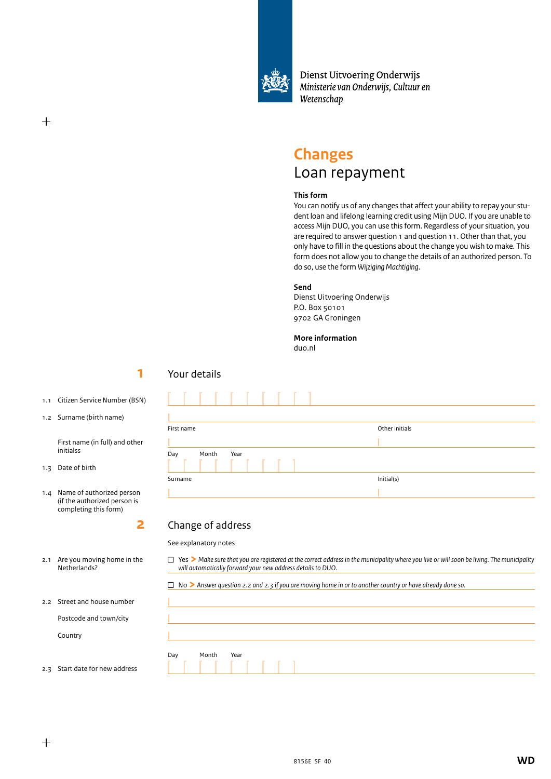

Dienst Uitvoering Onderwijs Ministerie van Onderwijs, Cultuur en Wetenschap

# **Changes** Loan repayment

#### **This form**

You can notify us of any changes that affect your ability to repay your student loan and lifelong learning credit using Mijn DUO. If you are unable to access Mijn DUO, you can use this form. Regardless of your situation, you are required to answer question 1 and question 11. Other than that, you only have to fill in the questions about the change you wish to make. This form does not allow you to change the details of an authorized person. To do so, use the form *Wijziging Machtiging*.

#### **Send**

Dienst Uitvoering Onderwijs P.O. Box 50101 9702 GA Groningen

## **More information**

duo.nl

L

# **1** 1<sup>2</sup> 1<sup>2</sup> 1<sup>2</sup>

- 1.1 Citizen Service Number (BSN)
- 1.2 Surname (birth name)

 First name (in full) and other initialss

1.3 Date of birth

 $^{+}$ 

1.4 Name of authorized person (if the authorized person is completing this form)

**2**

# Your details

| First name           | Other initials |
|----------------------|----------------|
|                      |                |
| Month<br>Day<br>Year |                |
| Surname              | Initial(s)     |
|                      |                |

# Change of address

See explanatory notes

<sup>n</sup> Yes **>** *Make sure that you are registered at the correct address in the municipality where you live or will soon be living. The municipality will automatically forward your new address details to DUO.*

|  |  | $\Box$ No $\triangleright$ Answer question 2.2 and 2.3 if you are moving home in or to another country or have already done so. |
|--|--|---------------------------------------------------------------------------------------------------------------------------------|
|--|--|---------------------------------------------------------------------------------------------------------------------------------|

| and house number    |                      |
|---------------------|----------------------|
| de and town/city    |                      |
| У                   |                      |
|                     | Month<br>Year<br>Day |
| ate for new address |                      |

# 2.1 Are you moving home in the Netherlands?

2.2 Street

Postco

Countr

2.3 Start d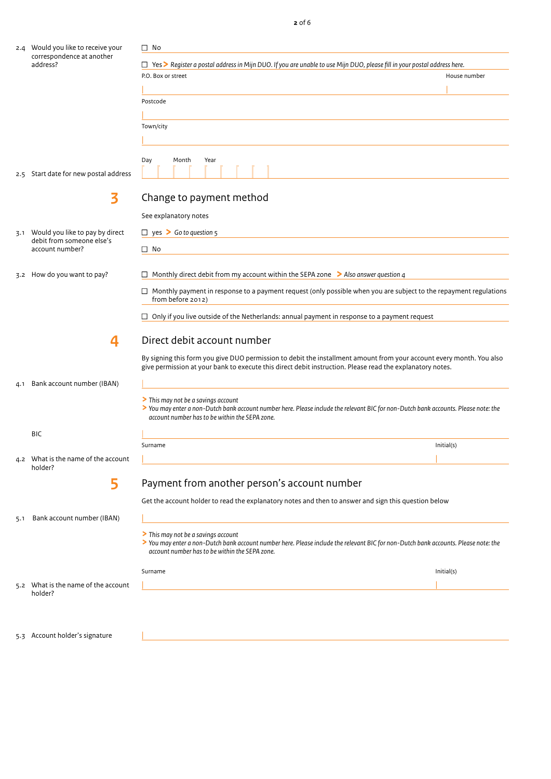|     | 2.4 Would you like to receive your             | $\Box$ No                                                                                                                                                                                                                         |              |
|-----|------------------------------------------------|-----------------------------------------------------------------------------------------------------------------------------------------------------------------------------------------------------------------------------------|--------------|
|     | correspondence at another<br>address?          | □ Yes > Register a postal address in Mijn DUO. If you are unable to use Mijn DUO, please fill in your postal address here.                                                                                                        |              |
|     |                                                | P.O. Box or street                                                                                                                                                                                                                | House number |
|     |                                                |                                                                                                                                                                                                                                   |              |
|     |                                                | Postcode                                                                                                                                                                                                                          |              |
|     |                                                |                                                                                                                                                                                                                                   |              |
|     |                                                | Town/city                                                                                                                                                                                                                         |              |
|     |                                                |                                                                                                                                                                                                                                   |              |
|     |                                                | Day<br>Month<br>Year                                                                                                                                                                                                              |              |
|     | 2.5 Start date for new postal address          |                                                                                                                                                                                                                                   |              |
|     | 3                                              | Change to payment method                                                                                                                                                                                                          |              |
|     |                                                | See explanatory notes                                                                                                                                                                                                             |              |
|     | 3.1 Would you like to pay by direct            | $\Box$ yes > Go to question 5                                                                                                                                                                                                     |              |
|     | debit from someone else's<br>account number?   | $\square$ No                                                                                                                                                                                                                      |              |
|     |                                                |                                                                                                                                                                                                                                   |              |
| 3.2 | How do you want to pay?                        | $\Box$ Monthly direct debit from my account within the SEPA zone $\triangleright$ Also answer question 4                                                                                                                          |              |
|     |                                                | $\Box$ Monthly payment in response to a payment request (only possible when you are subject to the repayment regulations<br>from before 2012)                                                                                     |              |
|     |                                                | $\Box$ Only if you live outside of the Netherlands: annual payment in response to a payment request                                                                                                                               |              |
|     | 4                                              | Direct debit account number                                                                                                                                                                                                       |              |
|     |                                                | By signing this form you give DUO permission to debit the installment amount from your account every month. You also<br>give permission at your bank to execute this direct debit instruction. Please read the explanatory notes. |              |
| 4.1 | Bank account number (IBAN)                     |                                                                                                                                                                                                                                   |              |
|     |                                                | > This may not be a savings account<br>> You may enter a non-Dutch bank account number here. Please include the relevant BIC for non-Dutch bank accounts. Please note: the<br>account number has to be within the SEPA zone.      |              |
|     | BIC                                            |                                                                                                                                                                                                                                   |              |
|     |                                                | Surname                                                                                                                                                                                                                           | Initial(s)   |
|     | 4.2 What is the name of the account<br>holder? |                                                                                                                                                                                                                                   |              |
|     | 5                                              | Payment from another person's account number                                                                                                                                                                                      |              |
|     |                                                | Get the account holder to read the explanatory notes and then to answer and sign this question below                                                                                                                              |              |
| 5.1 | Bank account number (IBAN)                     |                                                                                                                                                                                                                                   |              |
|     |                                                | > This may not be a savings account<br>> You may enter a non-Dutch bank account number here. Please include the relevant BIC for non-Dutch bank accounts. Please note: the<br>account number has to be within the SEPA zone.      |              |
|     |                                                | Surname                                                                                                                                                                                                                           | Initial(s)   |
|     | 5.2 What is the name of the account            |                                                                                                                                                                                                                                   |              |
|     | holder?                                        |                                                                                                                                                                                                                                   |              |
|     |                                                |                                                                                                                                                                                                                                   |              |
|     | 5.3 Account holder's signature                 |                                                                                                                                                                                                                                   |              |

**2** of 6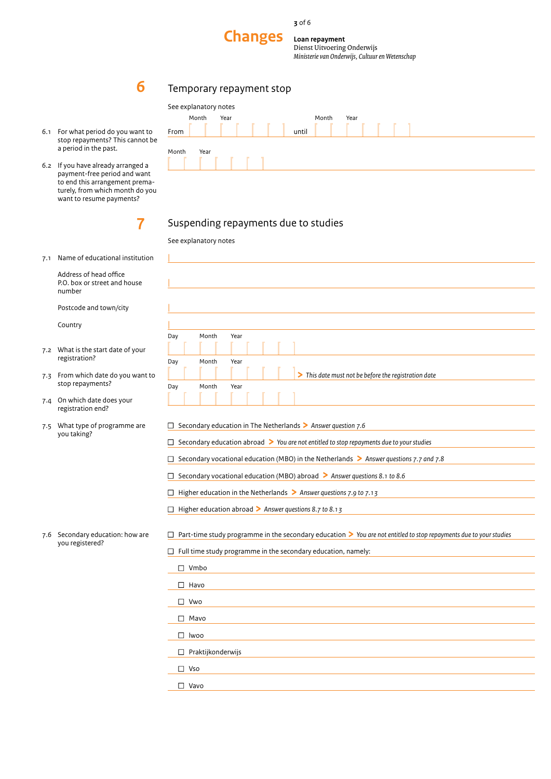

**Document 20 tekens 30 tekens in the Changes** 

**Loan repayment** Dienst Uitvoering Onderwijs

*Ministerie van Onderwijs, Cultuur en Wetenschap*

# Temporary repayment stop

| 6.1 | For what period do you want to  |
|-----|---------------------------------|
|     | stop repayments? This cannot be |
|     | a period in the past.           |

**6 6 6** 

6.2 If you have already arranged a payment-free period and want to end this arrangement prematurely, from which month do you want to resume payments?

|       | See explanatory notes<br>Month | Year |       | Month | Year |  |  |
|-------|--------------------------------|------|-------|-------|------|--|--|
| From  |                                |      | until |       | .    |  |  |
| Month | Year                           |      |       |       |      |  |  |
|       |                                |      |       |       |      |  |  |

# Suspending repayments due to studies

|  | See explanatory notes |  |
|--|-----------------------|--|
|  |                       |  |

|

7.1 Name of educational institution

**7**

 Address of head office P.O. box or street and house number

Postcode and town/city

Country

- 7.2 What is the start date of your registration?
- 7.3 From which date do you want to stop repayments?
- 7.4 On which date does your registration end?
- 7.5 What type of programme are you taking?

| Day | Month | Year                                                 |  |
|-----|-------|------------------------------------------------------|--|
|     |       |                                                      |  |
| Day | Month | Year                                                 |  |
|     |       | > This date must not be before the registration date |  |
| Day | Month | Year                                                 |  |
|     |       |                                                      |  |

<sup>n</sup> Secondary education in The Netherlands **>** *Answer question 7.6*

<sup>n</sup> Secondary education abroad **>** *You are not entitled to stop repayments due to your studies*

<sup>n</sup> Secondary vocational education (MBO) in the Netherlands **>** *Answer questions 7.7 and 7.8*

<sup>n</sup> Secondary vocational education (MBO) abroad **>** *Answer questions 8.1 to 8.6*

<sup>n</sup> Higher education in the Netherlands **>** *Answer questions 7.9 to 7.13*

<sup>n</sup> Higher education abroad **>** *Answer questions 8.7 to 8.13*

<sup>n</sup> Part-time study programme in the secondary education **>** *You are not entitled to stop repayments due to your studies*

|  | $\Box$ Full time study programme in the secondary education, namely: |  |  |  |
|--|----------------------------------------------------------------------|--|--|--|
|--|----------------------------------------------------------------------|--|--|--|

| П<br>Vmbo                |
|--------------------------|
| $\Box$ Havo              |
| $\Box$ Vwo               |
| $\Box$ Mavo              |
| $\Box$ Iwoo              |
| $\Box$ Praktijkonderwijs |
| $\Box$ Vso               |
| Vavo                     |
|                          |

7.6 Secondary education: how are you registered?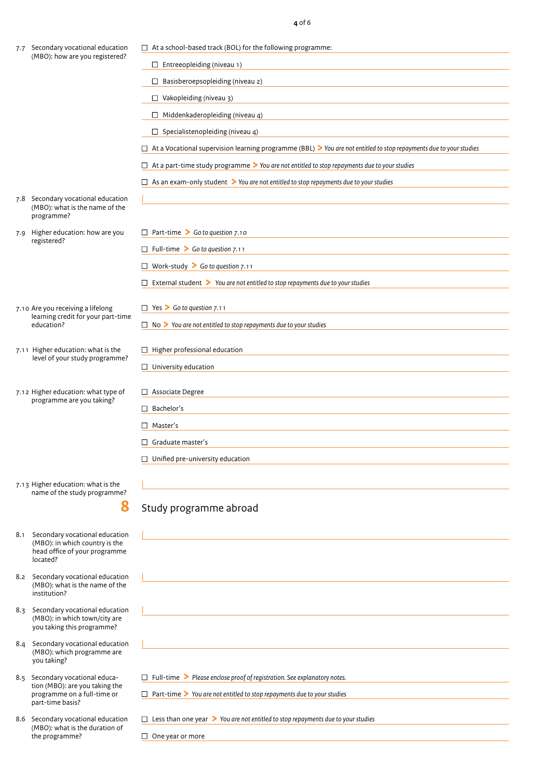|  | 7.7 Secondary vocational education                                                 | $\Box$ At a school-based track (BOL) for the following programme:                                                                               |
|--|------------------------------------------------------------------------------------|-------------------------------------------------------------------------------------------------------------------------------------------------|
|  | (MBO): how are you registered?                                                     | $\Box$ Entreeopleiding (niveau 1)                                                                                                               |
|  |                                                                                    | $\Box$ Basisberoepsopleiding (niveau 2)                                                                                                         |
|  |                                                                                    | $\Box$ Vakopleiding (niveau 3)                                                                                                                  |
|  |                                                                                    | $\Box$ Middenkaderopleiding (niveau 4)<br>the control of the control of the control of the control of the control of the control of             |
|  |                                                                                    | $\Box$ Specialistenopleiding (niveau 4)                                                                                                         |
|  |                                                                                    | $\Box$ At a Vocational supervision learning programme (BBL) > You are not entitled to stop repayments due to your studies                       |
|  |                                                                                    | $\Box$ At a part-time study programme $\triangleright$ You are not entitled to stop repayments due to your studies                              |
|  |                                                                                    | $\Box$ As an exam-only student $\triangleright$ You are not entitled to stop repayments due to your studies                                     |
|  |                                                                                    |                                                                                                                                                 |
|  | 7.8 Secondary vocational education<br>(MBO): what is the name of the<br>programme? |                                                                                                                                                 |
|  | 7.9 Higher education: how are you                                                  | $\Box$ Part-time > Go to question 7.10                                                                                                          |
|  | registered?                                                                        | $\Box$ Full-time > Go to question 7.11                                                                                                          |
|  |                                                                                    | □ Work-study $\geq$ Go to question 7.11                                                                                                         |
|  |                                                                                    | $\Box$ External student $\triangleright$ You are not entitled to stop repayments due to your studies                                            |
|  |                                                                                    |                                                                                                                                                 |
|  | 7.10 Are you receiving a lifelong<br>learning credit for your part-time            | $\Box$ Yes > Go to question 7.11                                                                                                                |
|  | education?                                                                         | $\Box$ No $\triangleright$ You are not entitled to stop repayments due to your studies                                                          |
|  | 7.11 Higher education: what is the                                                 | $\Box$ Higher professional education                                                                                                            |
|  | level of your study programme?                                                     | $\Box$ University education                                                                                                                     |
|  |                                                                                    |                                                                                                                                                 |
|  | 7.12 Higher education: what type of<br>programme are you taking?                   | $\Box$ Associate Degree<br><u> 1989 - Johann Stein, marwolaethau a bhann an t-Amhair an t-Amhair an t-Amhair an t-Amhair an t-Amhair an t-A</u> |
|  |                                                                                    | $\Box$ Bachelor's                                                                                                                               |
|  |                                                                                    | $\Box$ Master's                                                                                                                                 |
|  |                                                                                    | $\Box$ Graduate master's                                                                                                                        |
|  |                                                                                    | $\Box$ Unified pre-university education                                                                                                         |
|  |                                                                                    |                                                                                                                                                 |
|  | 7.13 Higher education: what is the<br>name of the study programme?                 |                                                                                                                                                 |
|  | 8                                                                                  | Study programme abroad                                                                                                                          |
|  |                                                                                    |                                                                                                                                                 |
|  | 8.1 Secondary vocational education<br>(MBO): in which country is the               |                                                                                                                                                 |
|  | head office of your programme<br>located?                                          |                                                                                                                                                 |
|  | 8.2 Secondary vocational education                                                 |                                                                                                                                                 |
|  | (MBO): what is the name of the<br>institution?                                     |                                                                                                                                                 |
|  | 8.3 Secondary vocational education                                                 | <u> 1980 - Johann Barn, mars ann an t-Amhain an t-Amhain an t-Amhain an t-Amhain an t-Amhain an t-Amhain an t-Amh</u>                           |
|  | (MBO): in which town/city are<br>you taking this programme?                        |                                                                                                                                                 |
|  | 8.4 Secondary vocational education                                                 |                                                                                                                                                 |
|  | (MBO): which programme are<br>you taking?                                          |                                                                                                                                                 |
|  | 8.5 Secondary vocational educa-                                                    | $\Box$ Full-time > Please enclose proof of registration. See explanatory notes.                                                                 |
|  | tion (MBO): are you taking the<br>programme on a full-time or<br>part-time basis?  | $\Box$ Part-time $\triangleright$ You are not entitled to stop repayments due to your studies                                                   |
|  | 8.6 Secondary vocational education                                                 | $\Box$ Less than one year $\triangleright$ You are not entitled to stop repayments due to your studies                                          |
|  | (MBO): what is the duration of<br>the programme?                                   | $\Box$ One year or more                                                                                                                         |
|  |                                                                                    |                                                                                                                                                 |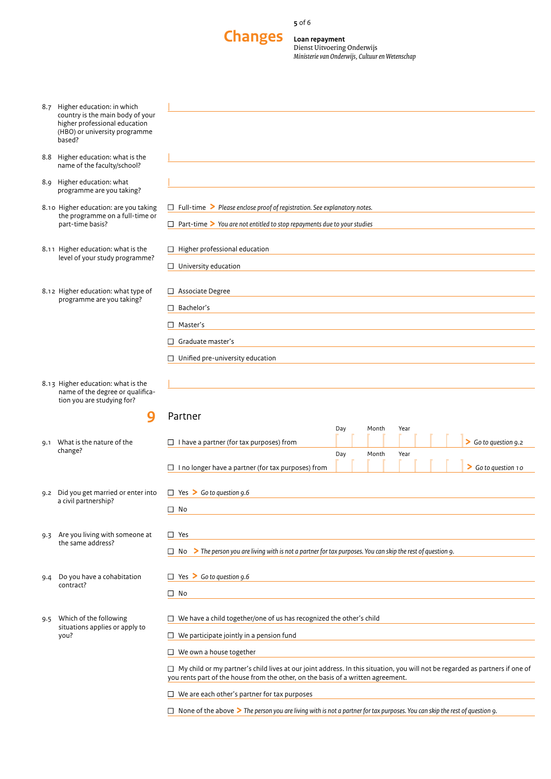**5** of 6



**Loan repayment** Dienst Uitvoering Onderwijs *Ministerie van Onderwijs, Cultuur en Wetenschap*

|     | 8.7 Higher education: in which                                                                               |                                                                                                                                                                                                                         |     |       |      |  |                    |
|-----|--------------------------------------------------------------------------------------------------------------|-------------------------------------------------------------------------------------------------------------------------------------------------------------------------------------------------------------------------|-----|-------|------|--|--------------------|
|     | country is the main body of your<br>higher professional education<br>(HBO) or university programme<br>based? |                                                                                                                                                                                                                         |     |       |      |  |                    |
|     |                                                                                                              |                                                                                                                                                                                                                         |     |       |      |  |                    |
|     | 8.8 Higher education: what is the<br>name of the faculty/school?                                             |                                                                                                                                                                                                                         |     |       |      |  |                    |
|     | 8.9 Higher education: what<br>programme are you taking?                                                      |                                                                                                                                                                                                                         |     |       |      |  |                    |
|     | 8.10 Higher education: are you taking<br>the programme on a full-time or                                     | $\Box$ Full-time > Please enclose proof of registration. See explanatory notes.                                                                                                                                         |     |       |      |  |                    |
|     | part-time basis?                                                                                             | $\Box$ Part-time $\triangleright$ You are not entitled to stop repayments due to your studies                                                                                                                           |     |       |      |  |                    |
|     | 8.11 Higher education: what is the<br>level of your study programme?                                         | $\Box$ Higher professional education                                                                                                                                                                                    |     |       |      |  |                    |
|     |                                                                                                              | $\Box$ University education                                                                                                                                                                                             |     |       |      |  |                    |
|     | 8.12 Higher education: what type of<br>programme are you taking?                                             | □ Associate Degree                                                                                                                                                                                                      |     |       |      |  |                    |
|     |                                                                                                              | Bachelor's<br>$\Box$                                                                                                                                                                                                    |     |       |      |  |                    |
|     |                                                                                                              | Master's<br>$\Box$                                                                                                                                                                                                      |     |       |      |  |                    |
|     |                                                                                                              | Graduate master's<br>□                                                                                                                                                                                                  |     |       |      |  |                    |
|     |                                                                                                              | $\Box$ Unified pre-university education                                                                                                                                                                                 |     |       |      |  |                    |
|     | 8.13 Higher education: what is the<br>name of the degree or qualifica-                                       |                                                                                                                                                                                                                         |     |       |      |  |                    |
|     | tion you are studying for?<br>9                                                                              | Partner                                                                                                                                                                                                                 |     |       |      |  |                    |
|     |                                                                                                              |                                                                                                                                                                                                                         | Day | Month | Year |  |                    |
| 9.1 | What is the nature of the                                                                                    | $\Box$ I have a partner (for tax purposes) from                                                                                                                                                                         |     |       |      |  | So to question 9.2 |
|     | change?                                                                                                      |                                                                                                                                                                                                                         | Day | Month | Year |  |                    |
|     |                                                                                                              | $\Box$ I no longer have a partner (for tax purposes) from                                                                                                                                                               |     |       |      |  | So to question 10  |
|     | 9.2 Did you get married or enter into<br>a civil partnership?                                                | $\Box$ Yes > Go to question 9.6                                                                                                                                                                                         |     |       |      |  |                    |
|     |                                                                                                              | $\Box$ No                                                                                                                                                                                                               |     |       |      |  |                    |
|     | 9.3 Are you living with someone at                                                                           | $\Box$ Yes                                                                                                                                                                                                              |     |       |      |  |                    |
|     | the same address?                                                                                            | No $\triangleright$ The person you are living with is not a partner for tax purposes. You can skip the rest of question 9.<br>□                                                                                         |     |       |      |  |                    |
| 9.4 | Do you have a cohabitation                                                                                   | $\Box$ Yes > Go to question 9.6                                                                                                                                                                                         |     |       |      |  |                    |
|     | contract?                                                                                                    | $\Box$ No                                                                                                                                                                                                               |     |       |      |  |                    |
|     | 9.5 Which of the following                                                                                   | $\Box$ We have a child together/one of us has recognized the other's child                                                                                                                                              |     |       |      |  |                    |
|     | situations applies or apply to<br>you?                                                                       | $\Box$ We participate jointly in a pension fund                                                                                                                                                                         |     |       |      |  |                    |
|     |                                                                                                              | $\Box$ We own a house together                                                                                                                                                                                          |     |       |      |  |                    |
|     |                                                                                                              | $\Box$ My child or my partner's child lives at our joint address. In this situation, you will not be regarded as partners if one of<br>you rents part of the house from the other, on the basis of a written agreement. |     |       |      |  |                    |
|     |                                                                                                              | $\Box$ We are each other's partner for tax purposes                                                                                                                                                                     |     |       |      |  |                    |
|     |                                                                                                              | $\Box$ None of the above $\triangleright$ The person you are living with is not a partner for tax purposes. You can skip the rest of question 9.                                                                        |     |       |      |  |                    |
|     |                                                                                                              |                                                                                                                                                                                                                         |     |       |      |  |                    |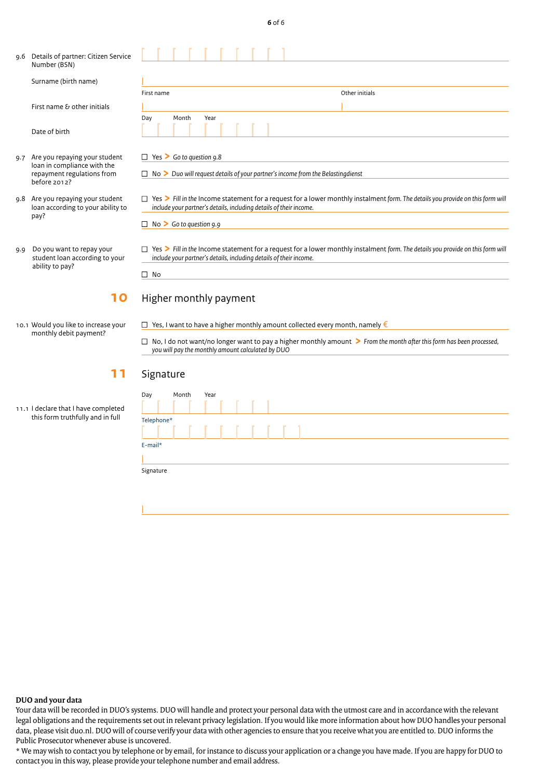| ۰.<br>$\sim$ | I | $\sim$ |
|--------------|---|--------|
|              |   |        |

|                 | 9.6 Details of partner: Citizen Service<br>Number (BSN)                                                        |                                                                                                                                                                                                                                                                                 |  |
|-----------------|----------------------------------------------------------------------------------------------------------------|---------------------------------------------------------------------------------------------------------------------------------------------------------------------------------------------------------------------------------------------------------------------------------|--|
|                 | Surname (birth name)                                                                                           |                                                                                                                                                                                                                                                                                 |  |
|                 |                                                                                                                | First name<br>Other initials                                                                                                                                                                                                                                                    |  |
|                 | First name & other initials                                                                                    |                                                                                                                                                                                                                                                                                 |  |
|                 | Date of birth                                                                                                  | Month<br>Year<br>Day                                                                                                                                                                                                                                                            |  |
|                 | 9.7 Are you repaying your student<br>loan in compliance with the<br>repayment regulations from<br>before 2012? | $\Box$ Yes > Go to question 9.8                                                                                                                                                                                                                                                 |  |
|                 |                                                                                                                | $\Box$ No $\triangleright$ Duo will request details of your partner's income from the Belasting dienst                                                                                                                                                                          |  |
|                 | 9.8 Are you repaying your student<br>loan according to your ability to<br>pay?                                 | $\Box$ Yes > Fill in the Income statement for a request for a lower monthly instalment form. The details you provide on this form will<br>include your partner's details, including details of their income.                                                                    |  |
|                 |                                                                                                                | $\Box$ No > Go to question 9.9                                                                                                                                                                                                                                                  |  |
| 9.9             | Do you want to repay your<br>student loan according to your<br>ability to pay?                                 | $\Box$ Yes > Fill in the Income statement for a request for a lower monthly instalment form. The details you provide on this form will<br>include your partner's details, including details of their income.                                                                    |  |
|                 |                                                                                                                | $\Box$ No                                                                                                                                                                                                                                                                       |  |
|                 | 10                                                                                                             | Higher monthly payment                                                                                                                                                                                                                                                          |  |
|                 | 10.1 Would you like to increase your<br>monthly debit payment?                                                 | $\Box$ Yes, I want to have a higher monthly amount collected every month, namely $\epsilon$<br>$\Box$ No, I do not want/no longer want to pay a higher monthly amount > From the month after this form has been processed,<br>you will pay the monthly amount calculated by DUO |  |
| 11<br>Signature |                                                                                                                |                                                                                                                                                                                                                                                                                 |  |
|                 | 11.1 I declare that I have completed<br>this form truthfully and in full                                       | Day<br>Month<br>Year<br>Telephone*<br>E-mail*<br>Signature                                                                                                                                                                                                                      |  |
|                 |                                                                                                                |                                                                                                                                                                                                                                                                                 |  |

#### **DUO and your data**

Your data will be recorded in DUO's systems. DUO will handle and protect your personal data with the utmost care and in accordance with the relevant legal obligations and the requirements set out in relevant privacy legislation. If you would like more information about how DUO handles your personal data, please visit duo.nl. DUO will of course verify your data with other agencies to ensure that you receive what you are entitled to. DUO informs the Public Prosecutor whenever abuse is uncovered.

\* We may wish to contact you by telephone or by email, for instance to discuss your application or a change you have made. If you are happy for DUO to contact you in this way, please provide your telephone number and email address.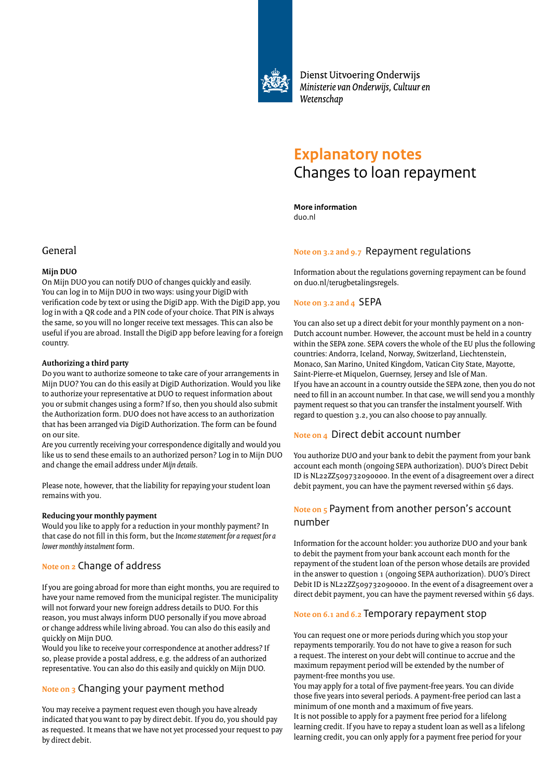

Dienst Uitvoering Onderwijs Ministerie van Onderwijs, Cultuur en Wetenschap

# **Explanatory notes** Changes to loan repayment

**More information** duo.nl

#### **Note on 3.2 and 9.7** Repayment regulations

Information about the regulations governing repayment can be found on duo.nl/terugbetalingsregels.

#### **Note on 3.2 and 4** SEPA

You can also set up a direct debit for your monthly payment on a non-Dutch account number. However, the account must be held in a country within the SEPA zone. SEPA covers the whole of the EU plus the following countries: Andorra, Iceland, Norway, Switzerland, Liechtenstein, Monaco, San Marino, United Kingdom, Vatican City State, Mayotte, Saint-Pierre-et Miquelon, Guernsey, Jersey and Isle of Man. If you have an account in a country outside the SEPA zone, then you do not need to fill in an account number. In that case, we will send you a monthly payment request so that you can transfer the instalment yourself. With regard to question 3.2, you can also choose to pay annually.

#### **Note on 4** Direct debit account number

You authorize DUO and your bank to debit the payment from your bank account each month (ongoing SEPA authorization). DUO's Direct Debit ID is NL22ZZ509732090000. In the event of a disagreement over a direct debit payment, you can have the payment reversed within 56 days.

## **Note on 5** Payment from another person's account number

Information for the account holder: you authorize DUO and your bank to debit the payment from your bank account each month for the repayment of the student loan of the person whose details are provided in the answer to question 1 (ongoing SEPA authorization). DUO's Direct Debit ID is NL22ZZ509732090000. In the event of a disagreement over a direct debit payment, you can have the payment reversed within 56 days.

### **Note on 6.1 and 6.2** Temporary repayment stop

You can request one or more periods during which you stop your repayments temporarily. You do not have to give a reason for such a request. The interest on your debt will continue to accrue and the maximum repayment period will be extended by the number of payment-free months you use.

You may apply for a total of five payment-free years. You can divide those five years into several periods. A payment-free period can last a minimum of one month and a maximum of five years.

It is not possible to apply for a payment free period for a lifelong learning credit. If you have to repay a student loan as well as a lifelong learning credit, you can only apply for a payment free period for your

# General

#### **Mijn DUO**

On Mijn DUO you can notify DUO of changes quickly and easily. You can log in to Mijn DUO in two ways: using your DigiD with verification code by text or using the DigiD app. With the DigiD app, you log in with a QR code and a PIN code of your choice. That PIN is always the same, so you will no longer receive text messages. This can also be useful if you are abroad. Install the DigiD app before leaving for a foreign country.

#### **Authorizing a third party**

Do you want to authorize someone to take care of your arrangements in Mijn DUO? You can do this easily at DigiD Authorization. Would you like to authorize your representative at DUO to request information about you or submit changes using a form? If so, then you should also submit the Authorization form. DUO does not have access to an authorization that has been arranged via DigiD Authorization. The form can be found on our site.

Are you currently receiving your correspondence digitally and would you like us to send these emails to an authorized person? Log in to Mijn DUO and change the email address under *Mijn details*.

Please note, however, that the liability for repaying your student loan remains with you.

#### **Reducing your monthly payment**

Would you like to apply for a reduction in your monthly payment? In that case do not fill in this form, but the *Income statement for a request for a lower monthly instalment* form.

# **Note on 2** Change of address

If you are going abroad for more than eight months, you are required to have your name removed from the municipal register. The municipality will not forward your new foreign address details to DUO. For this reason, you must always inform DUO personally if you move abroad or change address while living abroad. You can also do this easily and quickly on Mijn DUO.

Would you like to receive your correspondence at another address? If so, please provide a postal address, e.g. the address of an authorized representative. You can also do this easily and quickly on Mijn DUO.

# **Note on 3** Changing your payment method

You may receive a payment request even though you have already indicated that you want to pay by direct debit. If you do, you should pay as requested. It means that we have not yet processed your request to pay by direct debit.